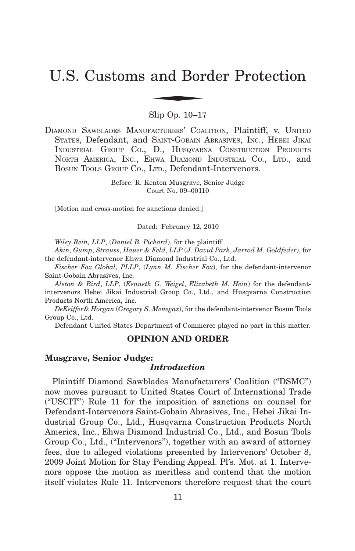# U.S. Customs and Border Protection and Bor

Slip Op. 10–17

DIAMOND SAWBLADES MANUFACTURERS' COALITION, Plaintiff, v. UNITED STATES, Defendant, and SAINT-GOBAIN ABRASIVES, INC., HEBEI JIKAI INDUSTRIAL GROUP CO., D., HUSQVARNA CONSTRUCTION PRODUCTS NORTH AMERICA, INC., EHWA DIAMOND INDUSTRIAL CO., LTD., and BOSUN TOOLS GROUP CO., LTD., Defendant-Intervenors.

> Before: R. Kenton Musgrave, Senior Judge Court No. 09–00110

[Motion and cross-motion for sanctions denied.]

Dated: February 12, 2010

*Wiley Rein, LLP*, (*Daniel B. Pickard*), for the plaintiff.

*Akin*, *Gump*, *Strauss*, *Hauer & Feld*, *LLP* (*J. David Park*, *Jarrod M. Goldfeder*), for the defendant-intervenor Ehwa Diamond Industrial Co., Ltd.

*Fischer Fox Global*, *PLLP*, (*Lynn M. Fischer Fox*), for the defendant-intervenor Saint-Gobain Abrasives, Inc.

*Alston & Bird*, *LLP*, (*Kenneth G. Weigel*, *Elizabeth M. Hein*) for the defendantintervenors Hebei Jikai Industrial Group Co., Ltd., and Husqvarna Construction Products North America, Inc.

*DeKeiffer& Horgan* (*Gregory S. Menegaz*), for the defendant-intervenor Bosun Tools Group Co., Ltd.

Defendant United States Department of Commerce played no part in this matter.

## **OPINION AND ORDER**

## **Musgrave, Senior Judge:**

## *Introduction*

Plaintiff Diamond Sawblades Manufacturers' Coalition ("DSMC") now moves pursuant to United States Court of International Trade ("USCIT") Rule 11 for the imposition of sanctions on counsel for Defendant-Intervenors Saint-Gobain Abrasives, Inc., Hebei Jikai Industrial Group Co., Ltd., Husqvarna Construction Products North America, Inc., Ehwa Diamond Industrial Co., Ltd., and Bosun Tools Group Co., Ltd., ("Intervenors"), together with an award of attorney fees, due to alleged violations presented by Intervenors' October 8, 2009 Joint Motion for Stay Pending Appeal. Pl's. Mot. at 1. Intervenors oppose the motion as meritless and contend that the motion itself violates Rule 11. Intervenors therefore request that the court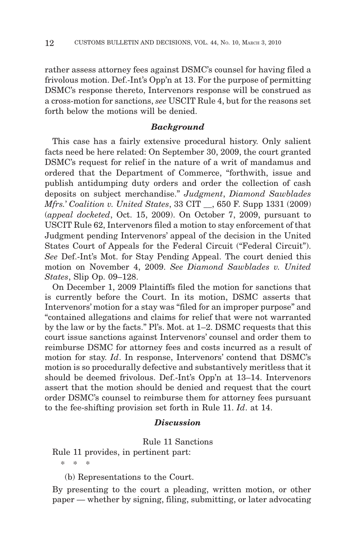rather assess attorney fees against DSMC's counsel for having filed a frivolous motion. Def.-Int's Opp'n at 13. For the purpose of permitting DSMC's response thereto, Intervenors response will be construed as a cross-motion for sanctions, *see* USCIT Rule 4, but for the reasons set forth below the motions will be denied.

## *Background*

This case has a fairly extensive procedural history. Only salient facts need be here related: On September 30, 2009, the court granted DSMC's request for relief in the nature of a writ of mandamus and ordered that the Department of Commerce, "forthwith, issue and publish antidumping duty orders and order the collection of cash deposits on subject merchandise." *Judgment*, *Diamond Sawblades Mfrs.*' *Coalition v. United States*, 33 CIT \_\_, 650 F. Supp 1331 (2009) (*appeal docketed*, Oct. 15, 2009). On October 7, 2009, pursuant to USCIT Rule 62, Intervenors filed a motion to stay enforcement of that Judgment pending Intervenors' appeal of the decision in the United States Court of Appeals for the Federal Circuit ("Federal Circuit"). *See* Def.-Int's Mot. for Stay Pending Appeal. The court denied this motion on November 4, 2009. *See Diamond Sawblades v. United States*, Slip Op. 09–128.

On December 1, 2009 Plaintiffs filed the motion for sanctions that is currently before the Court. In its motion, DSMC asserts that Intervenors' motion for a stay was "filed for an improper purpose" and "contained allegations and claims for relief that were not warranted by the law or by the facts." Pl's. Mot. at 1–2. DSMC requests that this court issue sanctions against Intervenors' counsel and order them to reimburse DSMC for attorney fees and costs incurred as a result of motion for stay. *Id*. In response, Intervenors' contend that DSMC's motion is so procedurally defective and substantively meritless that it should be deemed frivolous. Def.-Int's Opp'n at 13–14. Intervenors assert that the motion should be denied and request that the court order DSMC's counsel to reimburse them for attorney fees pursuant to the fee-shifting provision set forth in Rule 11. *Id*. at 14.

## *Discussion*

Rule 11 Sanctions

Rule 11 provides, in pertinent part:

\*\*\*

(b) Representations to the Court.

By presenting to the court a pleading, written motion, or other paper — whether by signing, filing, submitting, or later advocating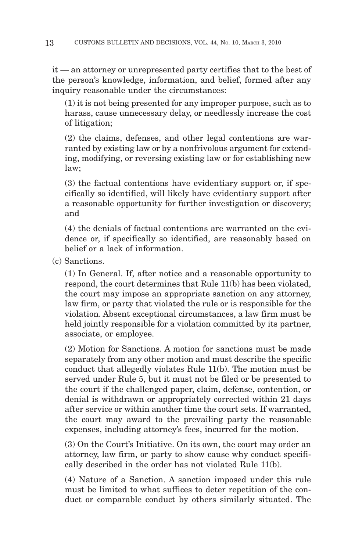it — an attorney or unrepresented party certifies that to the best of the person's knowledge, information, and belief, formed after any inquiry reasonable under the circumstances:

(1) it is not being presented for any improper purpose, such as to harass, cause unnecessary delay, or needlessly increase the cost of litigation;

(2) the claims, defenses, and other legal contentions are warranted by existing law or by a nonfrivolous argument for extending, modifying, or reversing existing law or for establishing new law;

(3) the factual contentions have evidentiary support or, if specifically so identified, will likely have evidentiary support after a reasonable opportunity for further investigation or discovery; and

(4) the denials of factual contentions are warranted on the evidence or, if specifically so identified, are reasonably based on belief or a lack of information.

(c) Sanctions.

(1) In General. If, after notice and a reasonable opportunity to respond, the court determines that Rule 11(b) has been violated, the court may impose an appropriate sanction on any attorney, law firm, or party that violated the rule or is responsible for the violation. Absent exceptional circumstances, a law firm must be held jointly responsible for a violation committed by its partner, associate, or employee.

(2) Motion for Sanctions. A motion for sanctions must be made separately from any other motion and must describe the specific conduct that allegedly violates Rule 11(b). The motion must be served under Rule 5, but it must not be filed or be presented to the court if the challenged paper, claim, defense, contention, or denial is withdrawn or appropriately corrected within 21 days after service or within another time the court sets. If warranted, the court may award to the prevailing party the reasonable expenses, including attorney's fees, incurred for the motion.

(3) On the Court's Initiative. On its own, the court may order an attorney, law firm, or party to show cause why conduct specifically described in the order has not violated Rule 11(b).

(4) Nature of a Sanction. A sanction imposed under this rule must be limited to what suffices to deter repetition of the conduct or comparable conduct by others similarly situated. The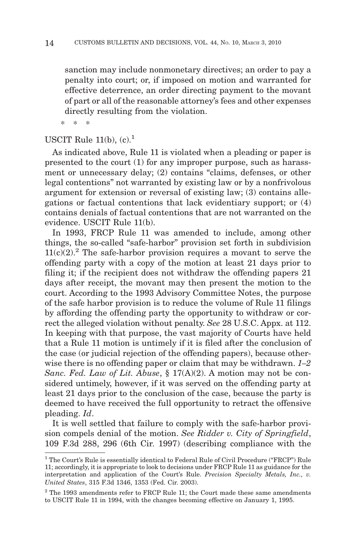sanction may include nonmonetary directives; an order to pay a penalty into court; or, if imposed on motion and warranted for effective deterrence, an order directing payment to the movant of part or all of the reasonable attorney's fees and other expenses directly resulting from the violation.

\*\*\*

# USCIT Rule  $11(b)$ ,  $(c)$ ,  $<sup>1</sup>$ </sup>

As indicated above, Rule 11 is violated when a pleading or paper is presented to the court (1) for any improper purpose, such as harassment or unnecessary delay; (2) contains "claims, defenses, or other legal contentions" not warranted by existing law or by a nonfrivolous argument for extension or reversal of existing law; (3) contains allegations or factual contentions that lack evidentiary support; or (4) contains denials of factual contentions that are not warranted on the evidence. USCIT Rule 11(b).

In 1993, FRCP Rule 11 was amended to include, among other things, the so-called "safe-harbor" provision set forth in subdivision  $11(c)(2)^2$ . The safe-harbor provision requires a movant to serve the offending party with a copy of the motion at least 21 days prior to filing it; if the recipient does not withdraw the offending papers 21 days after receipt, the movant may then present the motion to the court. According to the 1993 Advisory Committee Notes, the purpose of the safe harbor provision is to reduce the volume of Rule 11 filings by affording the offending party the opportunity to withdraw or correct the alleged violation without penalty. *See* 28 U.S.C. Appx. at 112. In keeping with that purpose, the vast majority of Courts have held that a Rule 11 motion is untimely if it is filed after the conclusion of the case (or judicial rejection of the offending papers), because otherwise there is no offending paper or claim that may be withdrawn. *1–2 Sanc. Fed. Law of Lit. Abuse*, § 17(A)(2). A motion may not be considered untimely, however, if it was served on the offending party at least 21 days prior to the conclusion of the case, because the party is deemed to have received the full opportunity to retract the offensive pleading. *Id*.

It is well settled that failure to comply with the safe-harbor provision compels denial of the motion. *See Ridder v. City of Springfield*, 109 F.3d 288, 296 (6th Cir. 1997) (describing compliance with the

<sup>&</sup>lt;sup>1</sup> The Court's Rule is essentially identical to Federal Rule of Civil Procedure ("FRCP") Rule 11; accordingly, it is appropriate to look to decisions under FRCP Rule 11 as guidance for the interpretation and application of the Court's Rule. *Precision Specialty Metals, Inc., v. United States*, 315 F.3d 1346, 1353 (Fed. Cir. 2003).

 $2$  The 1993 amendments refer to FRCP Rule 11; the Court made these same amendments to USCIT Rule 11 in 1994, with the changes becoming effective on January 1, 1995.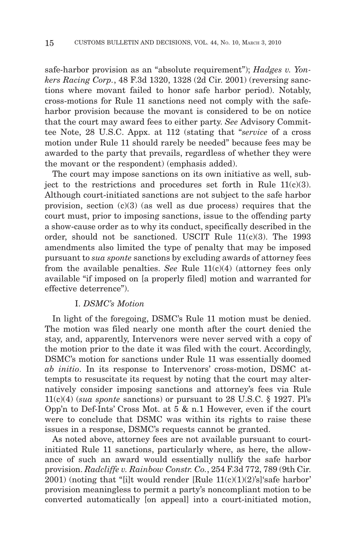safe-harbor provision as an "absolute requirement"); *Hadges v. Yonkers Racing Corp.*, 48 F.3d 1320, 1328 (2d Cir. 2001) (reversing sanctions where movant failed to honor safe harbor period). Notably, cross-motions for Rule 11 sanctions need not comply with the safeharbor provision because the movant is considered to be on notice that the court may award fees to either party. *See* Advisory Committee Note, 28 U.S.C. Appx. at 112 (stating that "*service* of a cross motion under Rule 11 should rarely be needed" because fees may be awarded to the party that prevails, regardless of whether they were the movant or the respondent) (emphasis added).

The court may impose sanctions on its own initiative as well, subject to the restrictions and procedures set forth in Rule  $11(c)(3)$ . Although court-initiated sanctions are not subject to the safe harbor provision, section  $(c)(3)$  (as well as due process) requires that the court must, prior to imposing sanctions, issue to the offending party a show-cause order as to why its conduct, specifically described in the order, should not be sanctioned. USCIT Rule  $11(c)(3)$ . The 1993 amendments also limited the type of penalty that may be imposed pursuant to *sua sponte* sanctions by excluding awards of attorney fees from the available penalties. *See* Rule 11(c)(4) (attorney fees only available "if imposed on [a properly filed] motion and warranted for effective deterrence").

## I. *DSMC's Motion*

In light of the foregoing, DSMC's Rule 11 motion must be denied. The motion was filed nearly one month after the court denied the stay, and, apparently, Intervenors were never served with a copy of the motion prior to the date it was filed with the court. Accordingly, DSMC's motion for sanctions under Rule 11 was essentially doomed *ab initio*. In its response to Intervenors' cross-motion, DSMC attempts to resuscitate its request by noting that the court may alternatively consider imposing sanctions and attorney's fees via Rule 11(c)(4) (*sua sponte* sanctions) or pursuant to 28 U.S.C. § 1927. Pl's Opp'n to Def-Ints' Cross Mot. at 5 & n.1 However, even if the court were to conclude that DSMC was within its rights to raise these issues in a response, DSMC's requests cannot be granted.

As noted above, attorney fees are not available pursuant to courtinitiated Rule 11 sanctions, particularly where, as here, the allowance of such an award would essentially nullify the safe harbor provision. *Radcliffe v. Rainbow Constr. Co.*, 254 F.3d 772, 789 (9th Cir.  $2001$ ) (noting that "[i]t would render [Rule  $11(c)(1)(2)$ 's] safe harbor' provision meaningless to permit a party's noncompliant motion to be converted automatically [on appeal] into a court-initiated motion,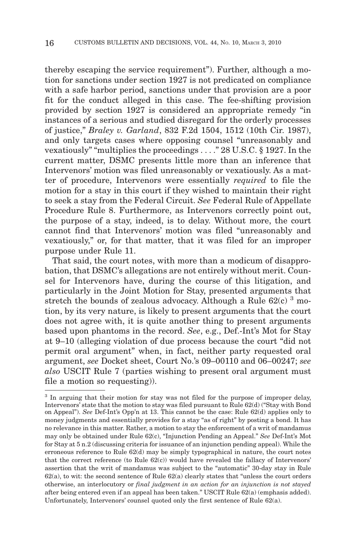thereby escaping the service requirement"). Further, although a motion for sanctions under section 1927 is not predicated on compliance with a safe harbor period, sanctions under that provision are a poor fit for the conduct alleged in this case. The fee-shifting provision provided by section 1927 is considered an appropriate remedy "in instances of a serious and studied disregard for the orderly processes of justice," *Braley v. Garland*, 832 F.2d 1504, 1512 (10th Cir. 1987), and only targets cases where opposing counsel "unreasonably and vexatiously" "multiplies the proceedings . . . ." 28 U.S.C. § 1927. In the current matter, DSMC presents little more than an inference that Intervenors' motion was filed unreasonably or vexatiously. As a matter of procedure, Intervenors were essentially *required* to file the motion for a stay in this court if they wished to maintain their right to seek a stay from the Federal Circuit. *See* Federal Rule of Appellate Procedure Rule 8. Furthermore, as Intervenors correctly point out, the purpose of a stay, indeed, is to delay. Without more, the court cannot find that Intervenors' motion was filed "unreasonably and vexatiously," or, for that matter, that it was filed for an improper purpose under Rule 11.

That said, the court notes, with more than a modicum of disapprobation, that DSMC's allegations are not entirely without merit. Counsel for Intervenors have, during the course of this litigation, and particularly in the Joint Motion for Stay, presented arguments that stretch the bounds of zealous advocacy. Although a Rule  $62(c)^3$  motion, by its very nature, is likely to present arguments that the court does not agree with, it is quite another thing to present arguments based upon phantoms in the record. *See*, e.g., Def.-Int's Mot for Stay at 9–10 (alleging violation of due process because the court "did not permit oral argument" when, in fact, neither party requested oral argument, *see* Docket sheet, Court No.'s 09–00110 and 06–00247; *see also* USCIT Rule 7 (parties wishing to present oral argument must file a motion so requesting)).

<sup>&</sup>lt;sup>3</sup> In arguing that their motion for stay was not filed for the purpose of improper delay, Intervenors' state that the motion to stay was filed pursuant to Rule  $62(d)$  ("Stay with Bond") on Appeal"). *See* Def-Int's Opp'n at 13. This cannot be the case: Rule 62(d) applies only to money judgments and essentially provides for a stay "as of right" by posting a bond. It has no relevance in this matter. Rather, a motion to stay the enforcement of a writ of mandamus may only be obtained under Rule 62(c), "Injunction Pending an Appeal." *See* Def-Int's Mot for Stay at 5 n.2 (discussing criteria for issuance of an injunction pending appeal). While the erroneous reference to Rule 62(d) may be simply typographical in nature, the court notes that the correct reference (to Rule  $62(c)$ ) would have revealed the fallacy of Intervenors' assertion that the writ of mandamus was subject to the "automatic" 30-day stay in Rule  $62(a)$ , to wit: the second sentence of Rule  $62(a)$  clearly states that "unless the court orders" otherwise, an interlocutory or *final judgment in an action for an injunction is not stayed* after being entered even if an appeal has been taken." USCIT Rule 62(a) (emphasis added). Unfortunately, Intervenors' counsel quoted only the first sentence of Rule 62(a).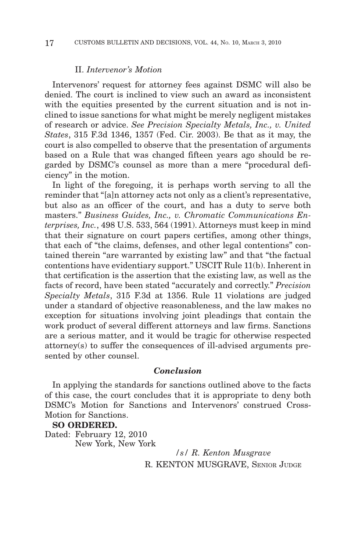# II. *Intervenor's Motion*

Intervenors' request for attorney fees against DSMC will also be denied. The court is inclined to view such an award as inconsistent with the equities presented by the current situation and is not inclined to issue sanctions for what might be merely negligent mistakes of research or advice. *See Precision Specialty Metals, Inc., v. United States*, 315 F.3d 1346, 1357 (Fed. Cir. 2003). Be that as it may, the court is also compelled to observe that the presentation of arguments based on a Rule that was changed fifteen years ago should be regarded by DSMC's counsel as more than a mere "procedural deficiency" in the motion.

In light of the foregoing, it is perhaps worth serving to all the reminder that "[a]n attorney acts not only as a client's representative, but also as an officer of the court, and has a duty to serve both masters." *Business Guides, Inc., v. Chromatic Communications Enterprises, Inc.*, 498 U.S. 533, 564 (1991). Attorneys must keep in mind that their signature on court papers certifies, among other things, that each of "the claims, defenses, and other legal contentions" contained therein "are warranted by existing law" and that "the factual contentions have evidentiary support." USCIT Rule 11(b). Inherent in that certification is the assertion that the existing law, as well as the facts of record, have been stated "accurately and correctly." *Precision Specialty Metals*, 315 F.3d at 1356. Rule 11 violations are judged under a standard of objective reasonableness, and the law makes no exception for situations involving joint pleadings that contain the work product of several different attorneys and law firms. Sanctions are a serious matter, and it would be tragic for otherwise respected attorney(s) to suffer the consequences of ill-advised arguments presented by other counsel.

## *Conclusion*

In applying the standards for sanctions outlined above to the facts of this case, the court concludes that it is appropriate to deny both DSMC's Motion for Sanctions and Intervenors' construed Cross-Motion for Sanctions.

## **SO ORDERED.**

Dated: February 12, 2010 New York, New York

> */s/ R. Kenton Musgrave* R. KENTON MUSGRAVE, SENIOR JUDGE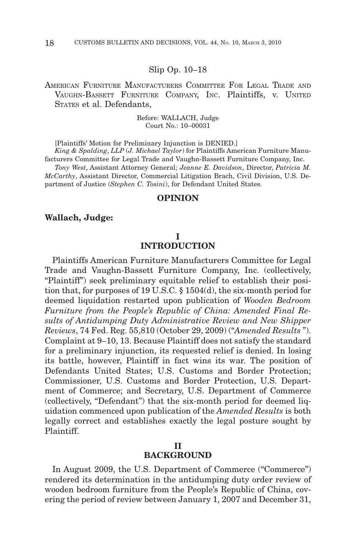## Slip Op. 10–18

AMERICAN FURNITURE MANUFACTURERS COMMITTEE FOR LEGAL TRADE AND VAUGHN-BASSETT FURNITURE COMPANY, INC. Plaintiffs, v. UNITED STATES et al. Defendants,

> Before: WALLACH, Judge Court No.: 10–00031

[Plaintiffs' Motion for Preliminary Injunction is DENIED.]

*King & Spalding*, *LLP* (*J. Michael Taylor*) for Plaintiffs American Furniture Manufacturers Committee for Legal Trade and Vaughn-Bassett Furniture Company, Inc.

*Tony West*, Assistant Attorney General; *Jeanne E. Davidson*, Director, *Patricia M. McCarthy*, Assistant Director, Commercial Litigation Brach, Civil Division, U.S. Department of Justice (*Stephen C. Tosini*), for Defendant United States.

## **OPINION**

## **Wallach, Judge:**

# **I**

# **INTRODUCTION**

Plaintiffs American Furniture Manufacturers Committee for Legal Trade and Vaughn-Bassett Furniture Company, Inc. (collectively, "Plaintiff") seek preliminary equitable relief to establish their position that, for purposes of 19 U.S.C. § 1504(d), the six-month period for deemed liquidation restarted upon publication of *Wooden Bedroom Furniture from the People's Republic of China: Amended Final Results of Antidumping Duty Administrative Review and New Shipper Reviews*, 74 Fed. Reg. 55,810 (October 29, 2009) ("*Amended Results* "). Complaint at 9–10, 13. Because Plaintiff does not satisfy the standard for a preliminary injunction, its requested relief is denied. In losing its battle, however, Plaintiff in fact wins its war. The position of Defendants United States; U.S. Customs and Border Protection; Commissioner, U.S. Customs and Border Protection, U.S. Department of Commerce; and Secretary, U.S. Department of Commerce (collectively, "Defendant") that the six-month period for deemed liquidation commenced upon publication of the *Amended Results* is both legally correct and establishes exactly the legal posture sought by Plaintiff.

# **BACKGROUND**

In August 2009, the U.S. Department of Commerce ("Commerce") rendered its determination in the antidumping duty order review of wooden bedroom furniture from the People's Republic of China, covering the period of review between January 1, 2007 and December 31,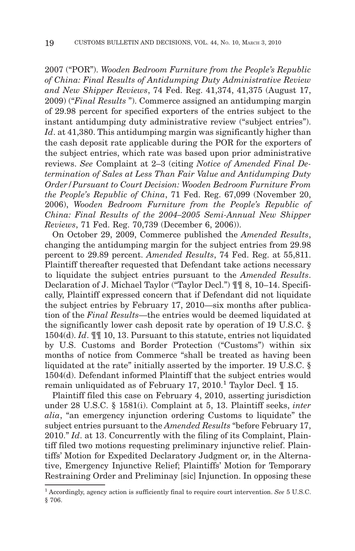2007 ("POR"). *Wooden Bedroom Furniture from the People's Republic of China: Final Results of Antidumping Duty Administrative Review and New Shipper Reviews*, 74 Fed. Reg. 41,374, 41,375 (August 17, 2009) ("*Final Results* "). Commerce assigned an antidumping margin of 29.98 percent for specified exporters of the entries subject to the instant antidumping duty administrative review ("subject entries"). Id. at 41,380. This antidumping margin was significantly higher than the cash deposit rate applicable during the POR for the exporters of the subject entries, which rate was based upon prior administrative reviews. *See* Complaint at 2–3 (citing *Notice of Amended Final Determination of Sales at Less Than Fair Value and Antidumping Duty Order/Pursuant to Court Decision: Wooden Bedroom Furniture From the People's Republic of China*, 71 Fed. Reg. 67,099 (November 20, 2006), *Wooden Bedroom Furniture from the People's Republic of China: Final Results of the 2004–2005 Semi-Annual New Shipper Reviews*, 71 Fed. Reg. 70,739 (December 6, 2006)).

On October 29, 2009, Commerce published the *Amended Results*, changing the antidumping margin for the subject entries from 29.98 percent to 29.89 percent. *Amended Results*, 74 Fed. Reg. at 55,811. Plaintiff thereafter requested that Defendant take actions necessary to liquidate the subject entries pursuant to the *Amended Results*. Declaration of J. Michael Taylor ("Taylor Decl.") ¶¶ 8, 10–14. Specifically, Plaintiff expressed concern that if Defendant did not liquidate the subject entries by February 17, 2010—six months after publication of the *Final Results*—the entries would be deemed liquidated at the significantly lower cash deposit rate by operation of 19 U.S.C. § 1504(d). *Id*. ¶¶ 10, 13. Pursuant to this statute, entries not liquidated by U.S. Customs and Border Protection ("Customs") within six months of notice from Commerce "shall be treated as having been liquidated at the rate" initially asserted by the importer. 19 U.S.C. § 1504(d). Defendant informed Plaintiff that the subject entries would remain unliquidated as of February 17, 2010.<sup>1</sup> Taylor Decl.  $\mathbb I$  15.

Plaintiff filed this case on February 4, 2010, asserting jurisdiction under 28 U.S.C. § 1581(i). Complaint at 5, 13. Plaintiff seeks, *inter alia*, "an emergency injunction ordering Customs to liquidate" the subject entries pursuant to the *Amended Results* "before February 17, 2010." *Id*. at 13. Concurrently with the filing of its Complaint, Plaintiff filed two motions requesting preliminary injunctive relief. Plaintiffs' Motion for Expedited Declaratory Judgment or, in the Alternative, Emergency Injunctive Relief; Plaintiffs' Motion for Temporary Restraining Order and Preliminay [sic] Injunction. In opposing these

<sup>1</sup> Accordingly, agency action is sufficiently final to require court intervention. *See* 5 U.S.C. § 706.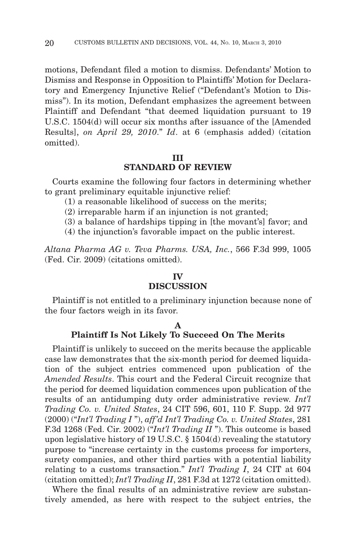motions, Defendant filed a motion to dismiss. Defendants' Motion to Dismiss and Response in Opposition to Plaintiffs' Motion for Declaratory and Emergency Injunctive Relief ("Defendant's Motion to Dismiss"). In its motion, Defendant emphasizes the agreement between Plaintiff and Defendant "that deemed liquidation pursuant to 19 U.S.C. 1504(d) will occur six months after issuance of the [Amended Results], *on April 29, 2010*." *Id*. at 6 (emphasis added) (citation omitted).

## **III**

## **STANDARD OF REVIEW**

Courts examine the following four factors in determining whether to grant preliminary equitable injunctive relief:

- (1) a reasonable likelihood of success on the merits;
- (2) irreparable harm if an injunction is not granted;
- (3) a balance of hardships tipping in [the movant's] favor; and
- (4) the injunction's favorable impact on the public interest.

*Altana Pharma AG v. Teva Pharms. USA, Inc.*, 566 F.3d 999, 1005 (Fed. Cir. 2009) (citations omitted).

## **IV**

# **DISCUSSION**

Plaintiff is not entitled to a preliminary injunction because none of the four factors weigh in its favor.

## **A**

## **Plaintiff Is Not Likely To Succeed On The Merits**

Plaintiff is unlikely to succeed on the merits because the applicable case law demonstrates that the six-month period for deemed liquidation of the subject entries commenced upon publication of the *Amended Results*. This court and the Federal Circuit recognize that the period for deemed liquidation commences upon publication of the results of an antidumping duty order administrative review. *Int'l Trading Co. v. United States*, 24 CIT 596, 601, 110 F. Supp. 2d 977 (2000) ("*Int'l Trading I* "), *aff'd Int'l Trading Co. v. United States*, 281 F.3d 1268 (Fed. Cir. 2002) ("*Int'l Trading II* "). This outcome is based upon legislative history of 19 U.S.C. § 1504(d) revealing the statutory purpose to "increase certainty in the customs process for importers, surety companies, and other third parties with a potential liability relating to a customs transaction." *Int'l Trading I*, 24 CIT at 604 (citation omitted); *Int'l Trading II*, 281 F.3d at 1272 (citation omitted).

Where the final results of an administrative review are substantively amended, as here with respect to the subject entries, the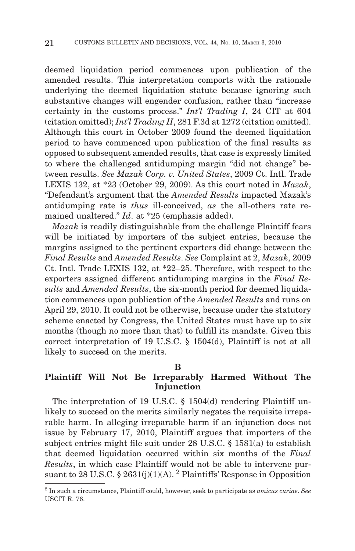deemed liquidation period commences upon publication of the amended results. This interpretation comports with the rationale underlying the deemed liquidation statute because ignoring such substantive changes will engender confusion, rather than "increase certainty in the customs process." *Int'l Trading I*, 24 CIT at 604 (citation omitted); *Int'l Trading II*, 281 F.3d at 1272 (citation omitted). Although this court in October 2009 found the deemed liquidation period to have commenced upon publication of the final results as opposed to subsequent amended results, that case is expressly limited to where the challenged antidumping margin "did not change" between results. *See Mazak Corp. v. United States*, 2009 Ct. Intl. Trade LEXIS 132, at \*23 (October 29, 2009). As this court noted in *Mazak*, "Defendant's argument that the *Amended Results* impacted Mazak's antidumping rate is *thus* ill-conceived, *as* the all-others rate remained unaltered." *Id*. at \*25 (emphasis added).

*Mazak* is readily distinguishable from the challenge Plaintiff fears will be initiated by importers of the subject entries, because the margins assigned to the pertinent exporters did change between the *Final Results* and *Amended Results*. *See* Complaint at 2, *Mazak*, 2009 Ct. Intl. Trade LEXIS 132, at \*22–25. Therefore, with respect to the exporters assigned different antidumping margins in the *Final Results* and *Amended Results*, the six-month period for deemed liquidation commences upon publication of the *Amended Results* and runs on April 29, 2010. It could not be otherwise, because under the statutory scheme enacted by Congress, the United States must have up to six months (though no more than that) to fulfill its mandate. Given this correct interpretation of 19 U.S.C. § 1504(d), Plaintiff is not at all likely to succeed on the merits.

**B**

# **Plaintiff Will Not Be Irreparably Harmed Without The Injunction**

The interpretation of 19 U.S.C. § 1504(d) rendering Plaintiff unlikely to succeed on the merits similarly negates the requisite irreparable harm. In alleging irreparable harm if an injunction does not issue by February 17, 2010, Plaintiff argues that importers of the subject entries might file suit under 28 U.S.C. § 1581(a) to establish that deemed liquidation occurred within six months of the *Final Results*, in which case Plaintiff would not be able to intervene pursuant to 28 U.S.C. § 2631(j)(1)(A). <sup>2</sup> Plaintiffs' Response in Opposition

<sup>2</sup> In such a circumstance, Plaintiff could, however, seek to participate as *amicus curiae*. *See* USCIT R. 76.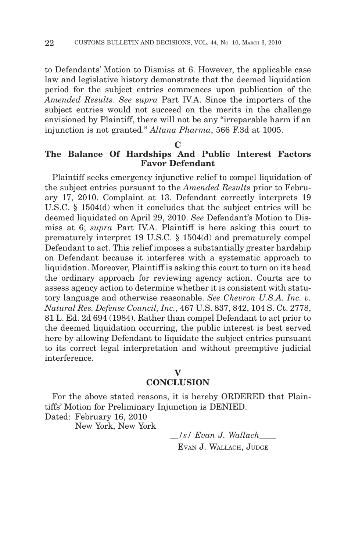to Defendants' Motion to Dismiss at 6. However, the applicable case law and legislative history demonstrate that the deemed liquidation period for the subject entries commences upon publication of the *Amended Results*. *See supra* Part IV.A. Since the importers of the subject entries would not succeed on the merits in the challenge envisioned by Plaintiff, there will not be any "irreparable harm if an injunction is not granted." *Altana Pharma*, 566 F.3d at 1005.

## **C**

# **The Balance Of Hardships And Public Interest Factors Favor Defendant**

Plaintiff seeks emergency injunctive relief to compel liquidation of the subject entries pursuant to the *Amended Results* prior to February 17, 2010. Complaint at 13. Defendant correctly interprets 19 U.S.C. § 1504(d) when it concludes that the subject entries will be deemed liquidated on April 29, 2010. *See* Defendant's Motion to Dismiss at 6; *supra* Part IV.A. Plaintiff is here asking this court to prematurely interpret 19 U.S.C. § 1504(d) and prematurely compel Defendant to act. This relief imposes a substantially greater hardship on Defendant because it interferes with a systematic approach to liquidation. Moreover, Plaintiff is asking this court to turn on its head the ordinary approach for reviewing agency action. Courts are to assess agency action to determine whether it is consistent with statutory language and otherwise reasonable. *See Chevron U.S.A. Inc. v. Natural Res. Defense Council, Inc.*, 467 U.S. 837, 842, 104 S. Ct. 2778, 81 L. Ed. 2d 694 (1984). Rather than compel Defendant to act prior to the deemed liquidation occurring, the public interest is best served here by allowing Defendant to liquidate the subject entries pursuant to its correct legal interpretation and without preemptive judicial interference.

## **V**

# **CONCLUSION**

For the above stated reasons, it is hereby ORDERED that Plaintiffs' Motion for Preliminary Injunction is DENIED.

Dated: February 16, 2010

New York, New York

*\_\_/s/ Evan J. Wallach\_\_\_\_* EVAN J. WALLACH, JUDGE